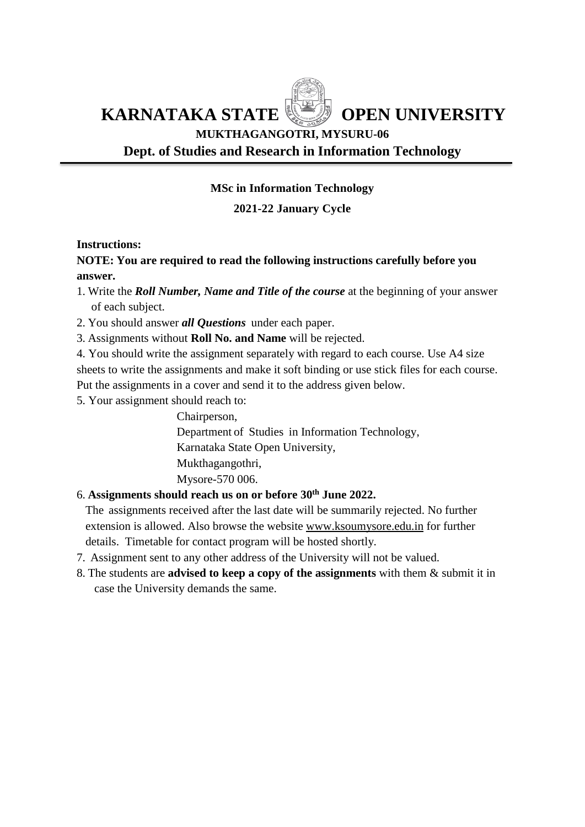**KARNATAKA STATE WE OPEN UNIVERSITY** 

# **MUKTHAGANGOTRI, MYSURU-06 Dept. of Studies and Research in Information Technology**

# **MSc in Information Technology**

# **2021-22 January Cycle**

# **Instructions:**

# **NOTE: You are required to read the following instructions carefully before you answer.**

- 1. Write the *Roll Number, Name and Title of the course* at the beginning of your answer of each subject.
- 2. You should answer *all Questions* under each paper.
- 3. Assignments without **Roll No. and Name** will be rejected.

4. You should write the assignment separately with regard to each course. Use A4 size sheets to write the assignments and make it soft binding or use stick files for each course. Put the assignments in a cover and send it to the address given below.

5. Your assignment should reach to:

Chairperson, Department of Studies in Information Technology, Karnataka State Open University, Mukthagangothri, Mysore-570 006.

# 6. **Assignments should reach us on or before 30th June 2022.**

 The assignments received after the last date will be summarily rejected. No further extension is allowed. Also browse the website [www.ksoumysore.edu.in](http://www.ksoumysore.edu.in/) for further details. Timetable for contact program will be hosted shortly.

- 7. Assignment sent to any other address of the University will not be valued.
- 8. The students are **advised to keep a copy of the assignments** with them & submit it in case the University demands the same.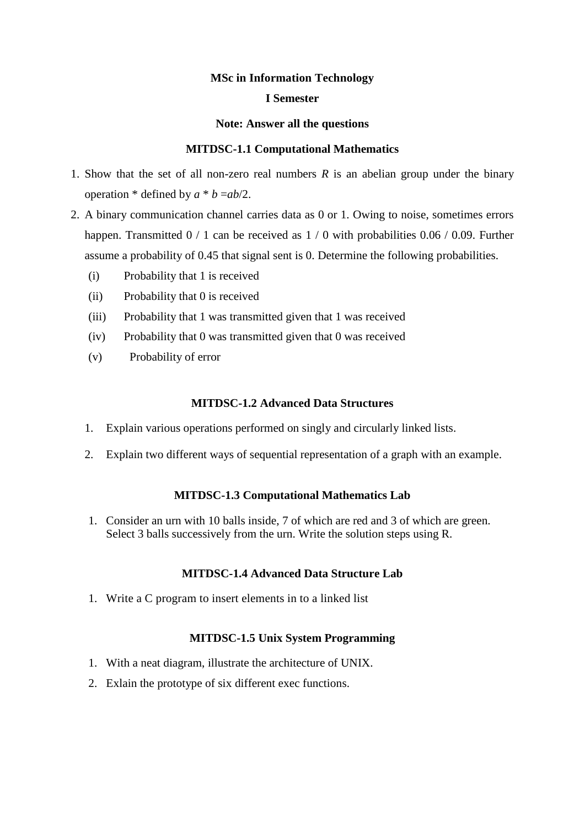### **MSc in Information Technology**

#### **I Semester**

#### **Note: Answer all the questions**

#### **MITDSC-1.1 Computational Mathematics**

- 1. Show that the set of all non-zero real numbers *R* is an abelian group under the binary operation  $*$  defined by  $a * b = ab/2$ .
- 2. A binary communication channel carries data as 0 or 1. Owing to noise, sometimes errors happen. Transmitted 0 / 1 can be received as 1 / 0 with probabilities 0.06 / 0.09. Further assume a probability of 0.45 that signal sent is 0. Determine the following probabilities.
	- (i) Probability that 1 is received
	- (ii) Probability that 0 is received
	- (iii) Probability that 1 was transmitted given that 1 was received
	- (iv) Probability that 0 was transmitted given that 0 was received
	- (v) Probability of error

#### **MITDSC-1.2 Advanced Data Structures**

- 1. Explain various operations performed on singly and circularly linked lists.
- 2. Explain two different ways of sequential representation of a graph with an example.

### **MITDSC-1.3 Computational Mathematics Lab**

1. Consider an urn with 10 balls inside, 7 of which are red and 3 of which are green. Select 3 balls successively from the urn. Write the solution steps using R.

### **MITDSC-1.4 Advanced Data Structure Lab**

1. Write a C program to insert elements in to a linked list

### **MITDSC-1.5 Unix System Programming**

- 1. With a neat diagram, illustrate the architecture of UNIX.
- 2. Exlain the prototype of six different exec functions.